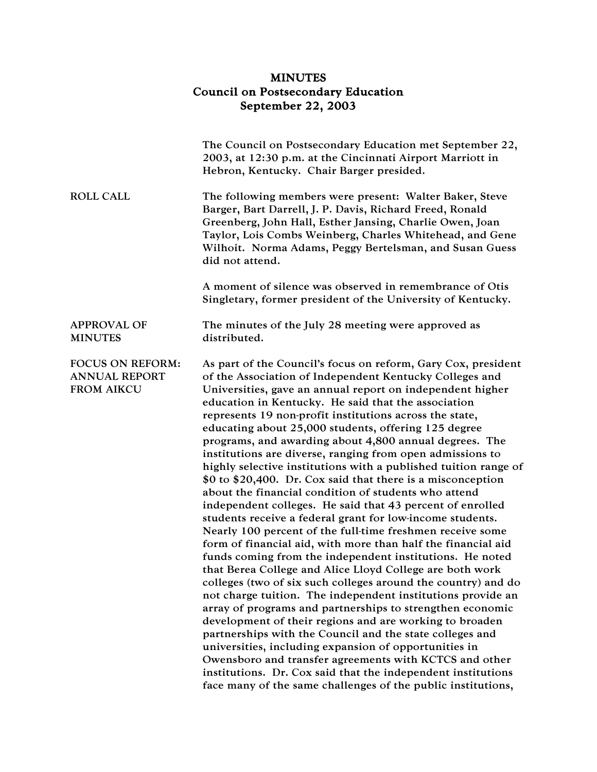## MINUTES Council on Postsecondary Education September 22, 2003

|                                                               | The Council on Postsecondary Education met September 22,<br>2003, at 12:30 p.m. at the Cincinnati Airport Marriott in<br>Hebron, Kentucky. Chair Barger presided.                                                                                                                                                                                                                                                                                                                                                                                                                                                                                                                                                                                                                                                                                                                                                                                                                                                                                                                                                                                                                                                                                                                                                                                                                                                                                                                                                                                                                                                                      |
|---------------------------------------------------------------|----------------------------------------------------------------------------------------------------------------------------------------------------------------------------------------------------------------------------------------------------------------------------------------------------------------------------------------------------------------------------------------------------------------------------------------------------------------------------------------------------------------------------------------------------------------------------------------------------------------------------------------------------------------------------------------------------------------------------------------------------------------------------------------------------------------------------------------------------------------------------------------------------------------------------------------------------------------------------------------------------------------------------------------------------------------------------------------------------------------------------------------------------------------------------------------------------------------------------------------------------------------------------------------------------------------------------------------------------------------------------------------------------------------------------------------------------------------------------------------------------------------------------------------------------------------------------------------------------------------------------------------|
| <b>ROLL CALL</b>                                              | The following members were present: Walter Baker, Steve<br>Barger, Bart Darrell, J. P. Davis, Richard Freed, Ronald<br>Greenberg, John Hall, Esther Jansing, Charlie Owen, Joan<br>Taylor, Lois Combs Weinberg, Charles Whitehead, and Gene<br>Wilhoit. Norma Adams, Peggy Bertelsman, and Susan Guess<br>did not attend.                                                                                                                                                                                                                                                                                                                                                                                                                                                                                                                                                                                                                                                                                                                                                                                                                                                                                                                                                                                                                                                                                                                                                                                                                                                                                                              |
|                                                               | A moment of silence was observed in remembrance of Otis<br>Singletary, former president of the University of Kentucky.                                                                                                                                                                                                                                                                                                                                                                                                                                                                                                                                                                                                                                                                                                                                                                                                                                                                                                                                                                                                                                                                                                                                                                                                                                                                                                                                                                                                                                                                                                                 |
| <b>APPROVAL OF</b><br><b>MINUTES</b>                          | The minutes of the July 28 meeting were approved as<br>distributed.                                                                                                                                                                                                                                                                                                                                                                                                                                                                                                                                                                                                                                                                                                                                                                                                                                                                                                                                                                                                                                                                                                                                                                                                                                                                                                                                                                                                                                                                                                                                                                    |
| FOCUS ON REFORM:<br><b>ANNUAL REPORT</b><br><b>FROM AIKCU</b> | As part of the Council's focus on reform, Gary Cox, president<br>of the Association of Independent Kentucky Colleges and<br>Universities, gave an annual report on independent higher<br>education in Kentucky. He said that the association<br>represents 19 non-profit institutions across the state,<br>educating about 25,000 students, offering 125 degree<br>programs, and awarding about 4,800 annual degrees. The<br>institutions are diverse, ranging from open admissions to<br>highly selective institutions with a published tuition range of<br>\$0 to \$20,400. Dr. Cox said that there is a misconception<br>about the financial condition of students who attend<br>independent colleges. He said that 43 percent of enrolled<br>students receive a federal grant for low-income students.<br>Nearly 100 percent of the full-time freshmen receive some<br>form of financial aid, with more than half the financial aid<br>funds coming from the independent institutions. He noted<br>that Berea College and Alice Lloyd College are both work<br>colleges (two of six such colleges around the country) and do<br>not charge tuition. The independent institutions provide an<br>array of programs and partnerships to strengthen economic<br>development of their regions and are working to broaden<br>partnerships with the Council and the state colleges and<br>universities, including expansion of opportunities in<br>Owensboro and transfer agreements with KCTCS and other<br>institutions. Dr. Cox said that the independent institutions<br>face many of the same challenges of the public institutions, |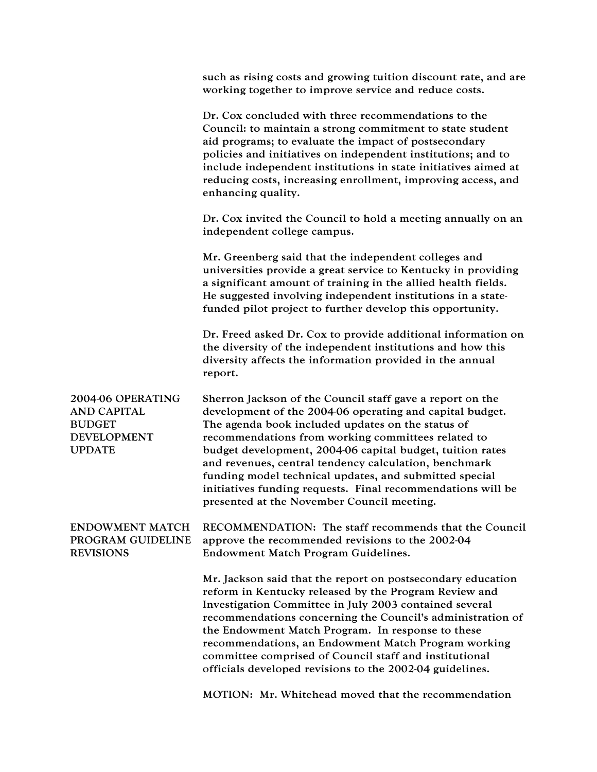|                                                                                                 | such as rising costs and growing tuition discount rate, and are<br>working together to improve service and reduce costs.                                                                                                                                                                                                                                                                                                                                                                                                      |
|-------------------------------------------------------------------------------------------------|-------------------------------------------------------------------------------------------------------------------------------------------------------------------------------------------------------------------------------------------------------------------------------------------------------------------------------------------------------------------------------------------------------------------------------------------------------------------------------------------------------------------------------|
|                                                                                                 | Dr. Cox concluded with three recommendations to the<br>Council: to maintain a strong commitment to state student<br>aid programs; to evaluate the impact of postsecondary<br>policies and initiatives on independent institutions; and to<br>include independent institutions in state initiatives aimed at<br>reducing costs, increasing enrollment, improving access, and<br>enhancing quality.                                                                                                                             |
|                                                                                                 | Dr. Cox invited the Council to hold a meeting annually on an<br>independent college campus.                                                                                                                                                                                                                                                                                                                                                                                                                                   |
|                                                                                                 | Mr. Greenberg said that the independent colleges and<br>universities provide a great service to Kentucky in providing<br>a significant amount of training in the allied health fields.<br>He suggested involving independent institutions in a state-<br>funded pilot project to further develop this opportunity.                                                                                                                                                                                                            |
|                                                                                                 | Dr. Freed asked Dr. Cox to provide additional information on<br>the diversity of the independent institutions and how this<br>diversity affects the information provided in the annual<br>report.                                                                                                                                                                                                                                                                                                                             |
| 2004-06 OPERATING<br><b>AND CAPITAL</b><br><b>BUDGET</b><br><b>DEVELOPMENT</b><br><b>UPDATE</b> | Sherron Jackson of the Council staff gave a report on the<br>development of the 2004-06 operating and capital budget.<br>The agenda book included updates on the status of<br>recommendations from working committees related to<br>budget development, 2004-06 capital budget, tuition rates<br>and revenues, central tendency calculation, benchmark<br>funding model technical updates, and submitted special<br>initiatives funding requests. Final recommendations will be<br>presented at the November Council meeting. |
| <b>ENDOWMENT MATCH</b><br>PROGRAM GUIDELINE<br><b>REVISIONS</b>                                 | RECOMMENDATION: The staff recommends that the Council<br>approve the recommended revisions to the 2002-04<br>Endowment Match Program Guidelines.                                                                                                                                                                                                                                                                                                                                                                              |
|                                                                                                 | Mr. Jackson said that the report on postsecondary education<br>reform in Kentucky released by the Program Review and<br>Investigation Committee in July 2003 contained several<br>recommendations concerning the Council's administration of<br>the Endowment Match Program. In response to these<br>recommendations, an Endowment Match Program working<br>committee comprised of Council staff and institutional<br>officials developed revisions to the 2002-04 guidelines.                                                |
|                                                                                                 | MOTION: Mr. Whitehead moved that the recommendation                                                                                                                                                                                                                                                                                                                                                                                                                                                                           |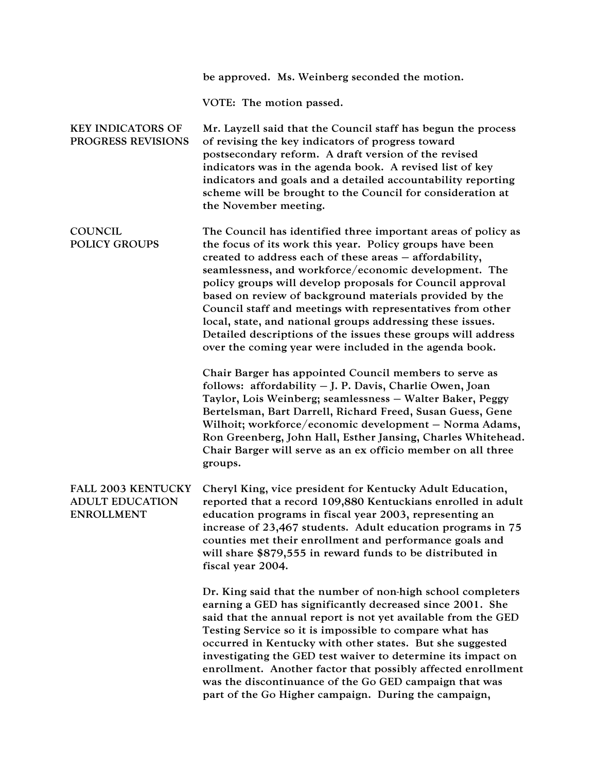|                                                                          | be approved. Ms. Weinberg seconded the motion.                                                                                                                                                                                                                                                                                                                                                                                                                                                                                                                                                                               |
|--------------------------------------------------------------------------|------------------------------------------------------------------------------------------------------------------------------------------------------------------------------------------------------------------------------------------------------------------------------------------------------------------------------------------------------------------------------------------------------------------------------------------------------------------------------------------------------------------------------------------------------------------------------------------------------------------------------|
|                                                                          | VOTE: The motion passed.                                                                                                                                                                                                                                                                                                                                                                                                                                                                                                                                                                                                     |
| <b>KEY INDICATORS OF</b><br>PROGRESS REVISIONS                           | Mr. Layzell said that the Council staff has begun the process<br>of revising the key indicators of progress toward<br>postsecondary reform. A draft version of the revised<br>indicators was in the agenda book. A revised list of key<br>indicators and goals and a detailed accountability reporting<br>scheme will be brought to the Council for consideration at<br>the November meeting.                                                                                                                                                                                                                                |
| <b>COUNCIL</b><br><b>POLICY GROUPS</b>                                   | The Council has identified three important areas of policy as<br>the focus of its work this year. Policy groups have been<br>created to address each of these areas - affordability,<br>seamlessness, and workforce/economic development. The<br>policy groups will develop proposals for Council approval<br>based on review of background materials provided by the<br>Council staff and meetings with representatives from other<br>local, state, and national groups addressing these issues.<br>Detailed descriptions of the issues these groups will address<br>over the coming year were included in the agenda book. |
|                                                                          | Chair Barger has appointed Council members to serve as<br>follows: affordability - J. P. Davis, Charlie Owen, Joan<br>Taylor, Lois Weinberg; seamlessness - Walter Baker, Peggy<br>Bertelsman, Bart Darrell, Richard Freed, Susan Guess, Gene<br>Wilhoit; workforce/economic development - Norma Adams,<br>Ron Greenberg, John Hall, Esther Jansing, Charles Whitehead.<br>Chair Barger will serve as an ex officio member on all three<br>groups.                                                                                                                                                                           |
| <b>FALL 2003 KENTUCKY</b><br><b>ADULT EDUCATION</b><br><b>ENROLLMENT</b> | Cheryl King, vice president for Kentucky Adult Education,<br>reported that a record 109,880 Kentuckians enrolled in adult<br>education programs in fiscal year 2003, representing an<br>increase of 23,467 students. Adult education programs in 75<br>counties met their enrollment and performance goals and<br>will share \$879,555 in reward funds to be distributed in<br>fiscal year 2004.                                                                                                                                                                                                                             |
|                                                                          | Dr. King said that the number of non-high school completers<br>earning a GED has significantly decreased since 2001. She<br>said that the annual report is not yet available from the GED<br>Testing Service so it is impossible to compare what has<br>occurred in Kentucky with other states. But she suggested<br>investigating the GED test waiver to determine its impact on<br>enrollment. Another factor that possibly affected enrollment<br>was the discontinuance of the Go GED campaign that was<br>part of the Go Higher campaign. During the campaign,                                                          |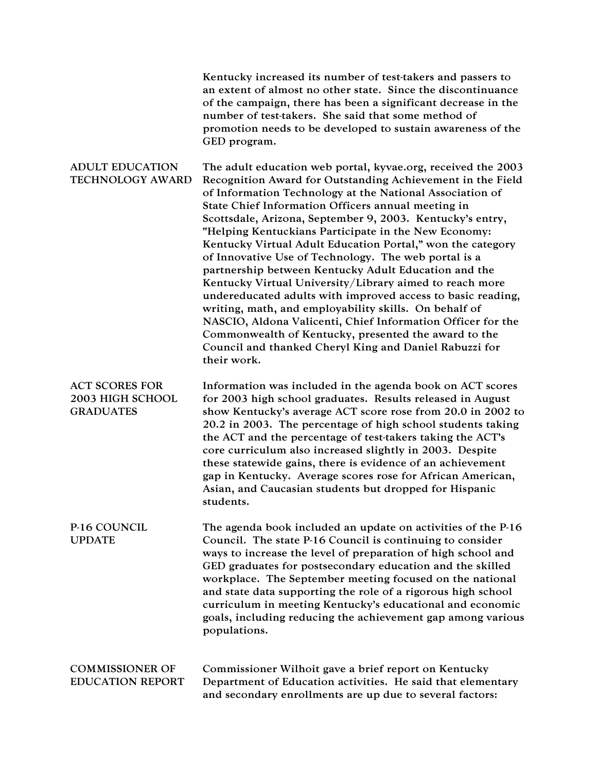|                                                               | Kentucky increased its number of test-takers and passers to<br>an extent of almost no other state. Since the discontinuance<br>of the campaign, there has been a significant decrease in the<br>number of test-takers. She said that some method of<br>promotion needs to be developed to sustain awareness of the<br>GED program.                                                                                                                                                                                                                                                                                                                                                                                                                                                                                                                                                                                                 |
|---------------------------------------------------------------|------------------------------------------------------------------------------------------------------------------------------------------------------------------------------------------------------------------------------------------------------------------------------------------------------------------------------------------------------------------------------------------------------------------------------------------------------------------------------------------------------------------------------------------------------------------------------------------------------------------------------------------------------------------------------------------------------------------------------------------------------------------------------------------------------------------------------------------------------------------------------------------------------------------------------------|
| <b>ADULT EDUCATION</b><br>TECHNOLOGY AWARD                    | The adult education web portal, kyvae.org, received the 2003<br>Recognition Award for Outstanding Achievement in the Field<br>of Information Technology at the National Association of<br>State Chief Information Officers annual meeting in<br>Scottsdale, Arizona, September 9, 2003. Kentucky's entry,<br>"Helping Kentuckians Participate in the New Economy:<br>Kentucky Virtual Adult Education Portal," won the category<br>of Innovative Use of Technology. The web portal is a<br>partnership between Kentucky Adult Education and the<br>Kentucky Virtual University/Library aimed to reach more<br>undereducated adults with improved access to basic reading,<br>writing, math, and employability skills. On behalf of<br>NASCIO, Aldona Valicenti, Chief Information Officer for the<br>Commonwealth of Kentucky, presented the award to the<br>Council and thanked Cheryl King and Daniel Rabuzzi for<br>their work. |
| <b>ACT SCORES FOR</b><br>2003 HIGH SCHOOL<br><b>GRADUATES</b> | Information was included in the agenda book on ACT scores<br>for 2003 high school graduates. Results released in August<br>show Kentucky's average ACT score rose from 20.0 in 2002 to<br>20.2 in 2003. The percentage of high school students taking<br>the ACT and the percentage of test-takers taking the ACT's<br>core curriculum also increased slightly in 2003. Despite<br>these statewide gains, there is evidence of an achievement<br>gap in Kentucky. Average scores rose for African American,<br>Asian, and Caucasian students but dropped for Hispanic<br>students.                                                                                                                                                                                                                                                                                                                                                 |
| <b>P-16 COUNCIL</b><br><b>UPDATE</b>                          | The agenda book included an update on activities of the P-16<br>Council. The state P-16 Council is continuing to consider<br>ways to increase the level of preparation of high school and<br>GED graduates for postsecondary education and the skilled<br>workplace. The September meeting focused on the national<br>and state data supporting the role of a rigorous high school<br>curriculum in meeting Kentucky's educational and economic<br>goals, including reducing the achievement gap among various<br>populations.                                                                                                                                                                                                                                                                                                                                                                                                     |
| <b>COMMISSIONER OF</b><br><b>EDUCATION REPORT</b>             | Commissioner Wilhoit gave a brief report on Kentucky<br>Department of Education activities. He said that elementary<br>and secondary enrollments are up due to several factors:                                                                                                                                                                                                                                                                                                                                                                                                                                                                                                                                                                                                                                                                                                                                                    |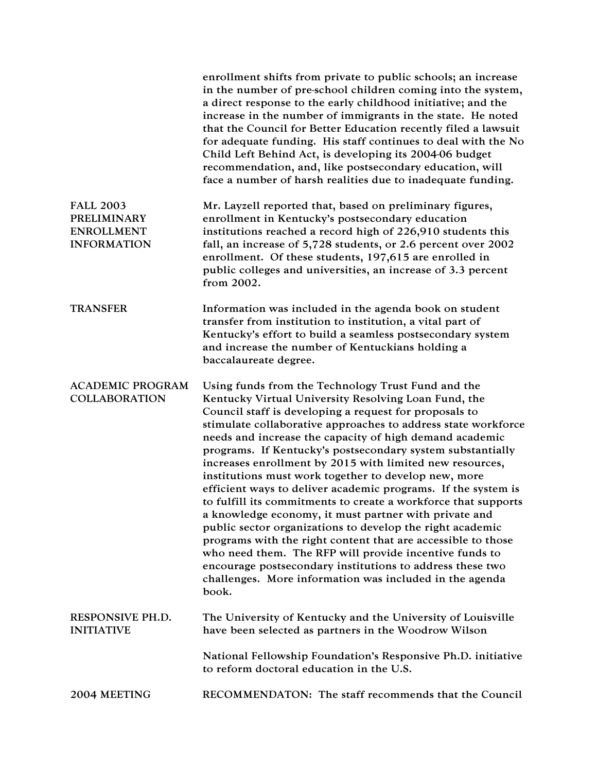|                                                                                   | enrollment shifts from private to public schools; an increase<br>in the number of pre-school children coming into the system,<br>a direct response to the early childhood initiative; and the<br>increase in the number of immigrants in the state. He noted<br>that the Council for Better Education recently filed a lawsuit<br>for adequate funding. His staff continues to deal with the No<br>Child Left Behind Act, is developing its 2004-06 budget<br>recommendation, and, like postsecondary education, will<br>face a number of harsh realities due to inadequate funding.                                                                                                                                                                                                                                                                                                                                                                                                                   |
|-----------------------------------------------------------------------------------|--------------------------------------------------------------------------------------------------------------------------------------------------------------------------------------------------------------------------------------------------------------------------------------------------------------------------------------------------------------------------------------------------------------------------------------------------------------------------------------------------------------------------------------------------------------------------------------------------------------------------------------------------------------------------------------------------------------------------------------------------------------------------------------------------------------------------------------------------------------------------------------------------------------------------------------------------------------------------------------------------------|
| <b>FALL 2003</b><br><b>PRELIMINARY</b><br><b>ENROLLMENT</b><br><b>INFORMATION</b> | Mr. Layzell reported that, based on preliminary figures,<br>enrollment in Kentucky's postsecondary education<br>institutions reached a record high of 226,910 students this<br>fall, an increase of 5,728 students, or 2.6 percent over 2002<br>enrollment. Of these students, 197,615 are enrolled in<br>public colleges and universities, an increase of 3.3 percent<br>from 2002.                                                                                                                                                                                                                                                                                                                                                                                                                                                                                                                                                                                                                   |
| <b>TRANSFER</b>                                                                   | Information was included in the agenda book on student<br>transfer from institution to institution, a vital part of<br>Kentucky's effort to build a seamless postsecondary system<br>and increase the number of Kentuckians holding a<br>baccalaureate degree.                                                                                                                                                                                                                                                                                                                                                                                                                                                                                                                                                                                                                                                                                                                                         |
| <b>ACADEMIC PROGRAM</b><br><b>COLLABORATION</b>                                   | Using funds from the Technology Trust Fund and the<br>Kentucky Virtual University Resolving Loan Fund, the<br>Council staff is developing a request for proposals to<br>stimulate collaborative approaches to address state workforce<br>needs and increase the capacity of high demand academic<br>programs. If Kentucky's postsecondary system substantially<br>increases enrollment by 2015 with limited new resources,<br>institutions must work together to develop new, more<br>efficient ways to deliver academic programs. If the system is<br>to fulfill its commitments to create a workforce that supports<br>a knowledge economy, it must partner with private and<br>public sector organizations to develop the right academic<br>programs with the right content that are accessible to those<br>who need them. The RFP will provide incentive funds to<br>encourage postsecondary institutions to address these two<br>challenges. More information was included in the agenda<br>book. |
| RESPONSIVE PH.D.<br><b>INITIATIVE</b>                                             | The University of Kentucky and the University of Louisville<br>have been selected as partners in the Woodrow Wilson                                                                                                                                                                                                                                                                                                                                                                                                                                                                                                                                                                                                                                                                                                                                                                                                                                                                                    |
|                                                                                   | National Fellowship Foundation's Responsive Ph.D. initiative<br>to reform doctoral education in the U.S.                                                                                                                                                                                                                                                                                                                                                                                                                                                                                                                                                                                                                                                                                                                                                                                                                                                                                               |
| 2004 MEETING                                                                      | RECOMMENDATON: The staff recommends that the Council                                                                                                                                                                                                                                                                                                                                                                                                                                                                                                                                                                                                                                                                                                                                                                                                                                                                                                                                                   |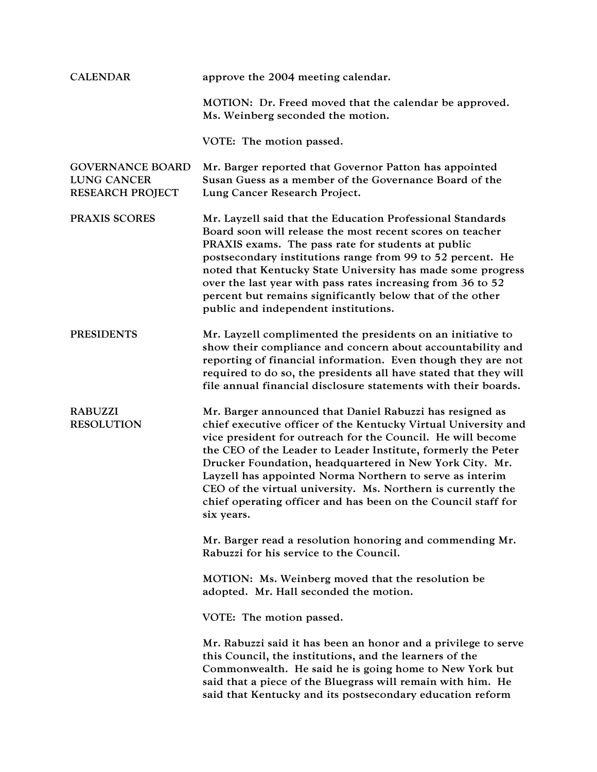| <b>CALENDAR</b>                                                          | approve the 2004 meeting calendar.                                                                                                                                                                                                                                                                                                                                                                                                                                                                                               |
|--------------------------------------------------------------------------|----------------------------------------------------------------------------------------------------------------------------------------------------------------------------------------------------------------------------------------------------------------------------------------------------------------------------------------------------------------------------------------------------------------------------------------------------------------------------------------------------------------------------------|
|                                                                          | MOTION: Dr. Freed moved that the calendar be approved.<br>Ms. Weinberg seconded the motion.                                                                                                                                                                                                                                                                                                                                                                                                                                      |
|                                                                          | VOTE: The motion passed.                                                                                                                                                                                                                                                                                                                                                                                                                                                                                                         |
| <b>GOVERNANCE BOARD</b><br><b>LUNG CANCER</b><br><b>RESEARCH PROJECT</b> | Mr. Barger reported that Governor Patton has appointed<br>Susan Guess as a member of the Governance Board of the<br>Lung Cancer Research Project.                                                                                                                                                                                                                                                                                                                                                                                |
| PRAXIS SCORES                                                            | Mr. Layzell said that the Education Professional Standards<br>Board soon will release the most recent scores on teacher<br>PRAXIS exams. The pass rate for students at public<br>postsecondary institutions range from 99 to 52 percent. He<br>noted that Kentucky State University has made some progress<br>over the last year with pass rates increasing from 36 to 52<br>percent but remains significantly below that of the other<br>public and independent institutions.                                                   |
| <b>PRESIDENTS</b>                                                        | Mr. Layzell complimented the presidents on an initiative to<br>show their compliance and concern about accountability and<br>reporting of financial information. Even though they are not<br>required to do so, the presidents all have stated that they will<br>file annual financial disclosure statements with their boards.                                                                                                                                                                                                  |
| <b>RABUZZI</b><br><b>RESOLUTION</b>                                      | Mr. Barger announced that Daniel Rabuzzi has resigned as<br>chief executive officer of the Kentucky Virtual University and<br>vice president for outreach for the Council. He will become<br>the CEO of the Leader to Leader Institute, formerly the Peter<br>Drucker Foundation, headquartered in New York City. Mr.<br>Layzell has appointed Norma Northern to serve as interim<br>CEO of the virtual university. Ms. Northern is currently the<br>chief operating officer and has been on the Council staff for<br>six years. |
|                                                                          | Mr. Barger read a resolution honoring and commending Mr.<br>Rabuzzi for his service to the Council.                                                                                                                                                                                                                                                                                                                                                                                                                              |
|                                                                          | MOTION: Ms. Weinberg moved that the resolution be<br>adopted. Mr. Hall seconded the motion.                                                                                                                                                                                                                                                                                                                                                                                                                                      |
|                                                                          | VOTE: The motion passed.                                                                                                                                                                                                                                                                                                                                                                                                                                                                                                         |
|                                                                          | Mr. Rabuzzi said it has been an honor and a privilege to serve<br>this Council, the institutions, and the learners of the<br>Commonwealth. He said he is going home to New York but<br>said that a piece of the Bluegrass will remain with him. He<br>said that Kentucky and its postsecondary education reform                                                                                                                                                                                                                  |